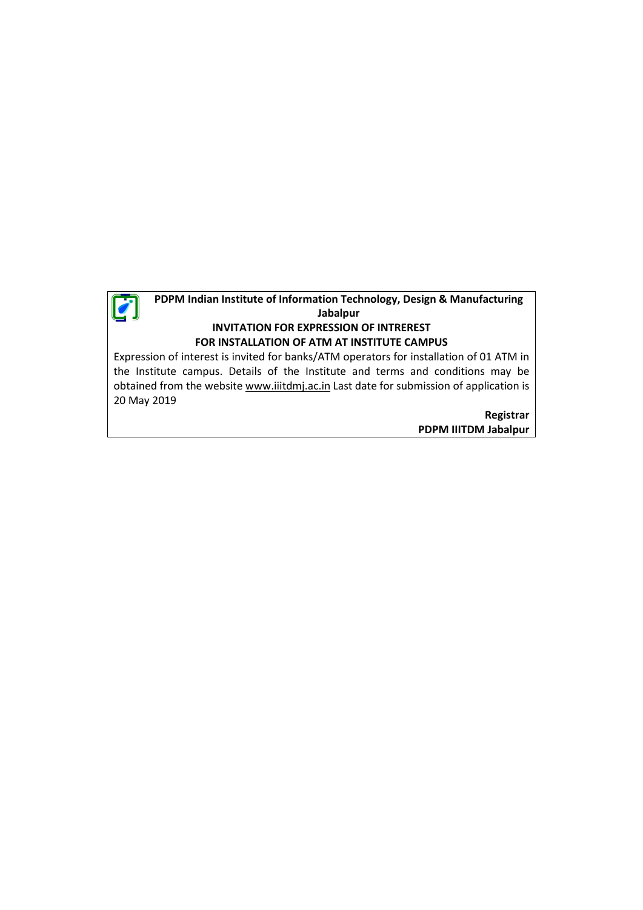

## **PDPM Indian Institute of Information Technology, Design & Manufacturing Jabalpur INVITATION FOR EXPRESSION OF INTREREST FOR INSTALLATION OF ATM AT INSTITUTE CAMPUS**

Expression of interest is invited for banks/ATM operators for installation of 01 ATM in the Institute campus. Details of the Institute and terms and conditions may be obtained from the website www.iiitdmj.ac.in Last date for submission of application is 20 May 2019

> **Registrar PDPM IIITDM Jabalpur**